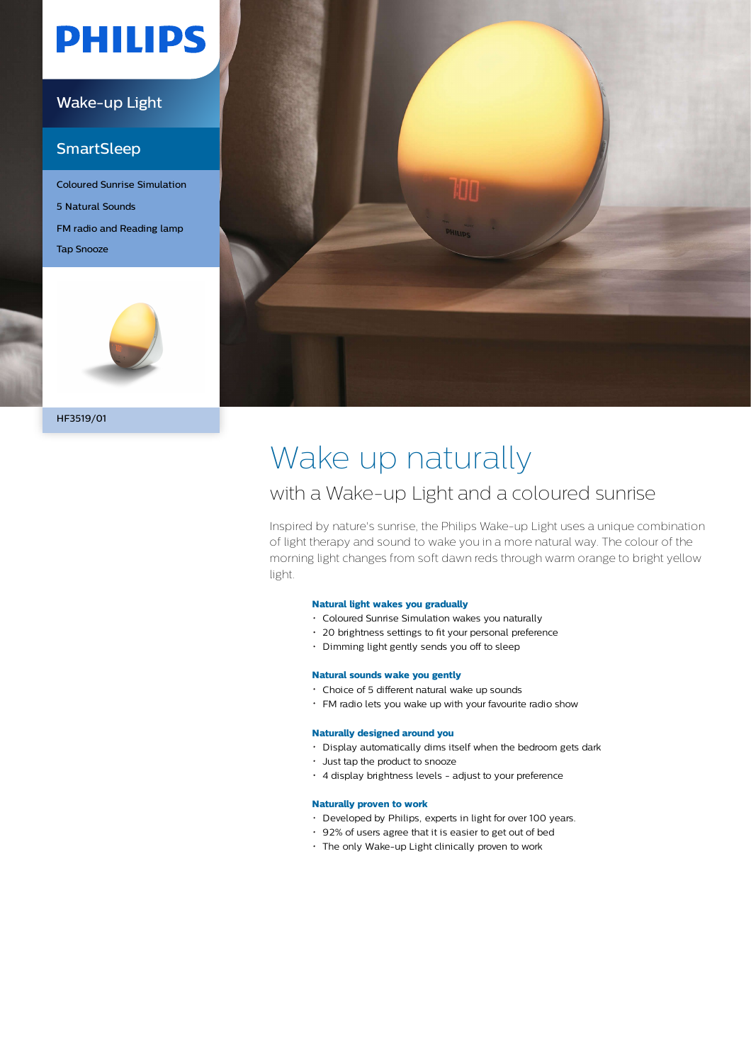# **PHILIPS**

### Wake-up Light

### **SmartSleep**

Coloured Sunrise Simulation 5 Natural Sounds FM radio and Reading lamp Tap Snooze



HF3519/01



## Wake up naturally

### with a Wake-up Light and a coloured sunrise

Inspired by nature's sunrise, the Philips Wake-up Light uses a unique combination of light therapy and sound to wake you in a more natural way. The colour of the morning light changes from soft dawn reds through warm orange to bright yellow light.

#### **Natural light wakes you gradually**

- Coloured Sunrise Simulation wakes you naturally
- 20 brightness settings to fit your personal preference
- Dimming light gently sends you off to sleep

#### **Natural sounds wake you gently**

- Choice of 5 different natural wake up sounds
- FM radio lets you wake up with your favourite radio show

#### **Naturally designed around you**

- Display automatically dims itself when the bedroom gets dark
- Just tap the product to snooze
- 4 display brightness levels adjust to your preference

#### **Naturally proven to work**

- Developed by Philips, experts in light for over 100 years.
- 92% of users agree that it is easier to get out of bed
- The only Wake-up Light clinically proven to work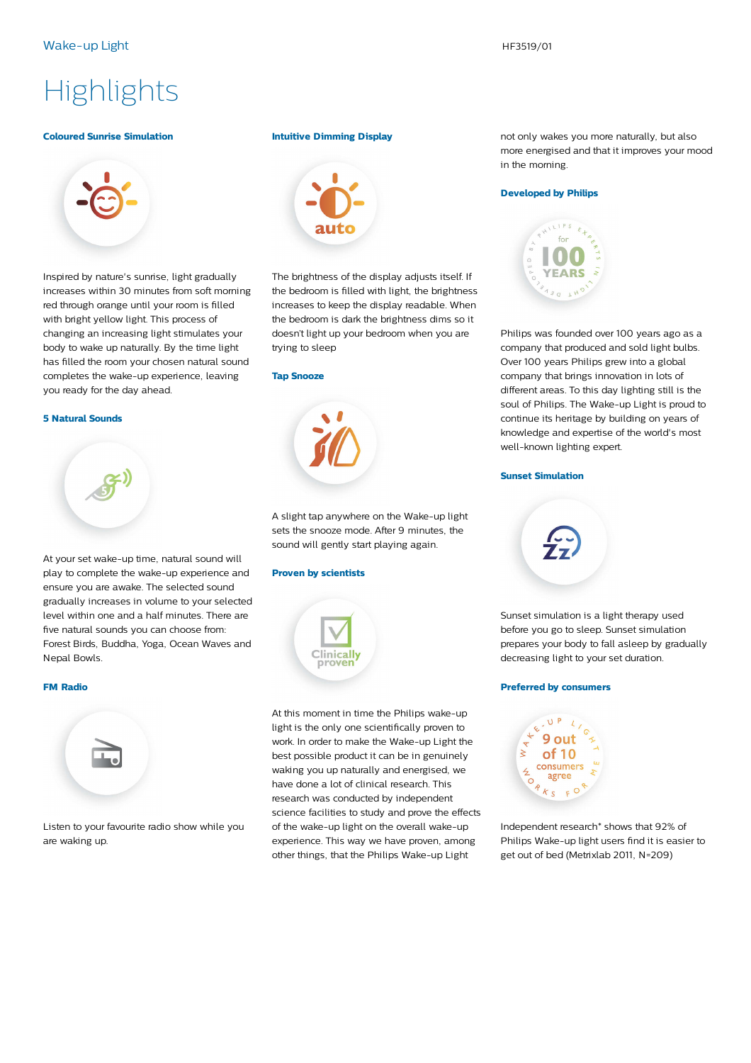## **Highlights**

#### **Coloured Sunrise Simulation**



Inspired by nature's sunrise, light gradually increases within 30 minutes from soft morning red through orange until your room is filled with bright yellow light. This process of changing an increasing light stimulates your body to wake up naturally. By the time light has filled the room your chosen natural sound completes the wake-up experience, leaving you ready for the day ahead.

#### **5 Natural Sounds**



At your set wake-up time, natural sound will play to complete the wake-up experience and ensure you are awake. The selected sound gradually increases in volume to your selected level within one and a half minutes. There are five natural sounds you can choose from: Forest Birds, Buddha, Yoga, Ocean Waves and Nepal Bowls.

#### **FM Radio**



Listen to your favourite radio show while you are waking up.

#### **Intuitive Dimming Display**



The brightness of the display adjusts itself. If the bedroom is filled with light, the brightness increases to keep the display readable. When the bedroom is dark the brightness dims so it doesn't light up your bedroom when you are trying to sleep

#### **Tap Snooze**



A slight tap anywhere on the Wake-up light sets the snooze mode. After 9 minutes, the sound will gently start playing again.

#### **Proven by scientists**



At this moment in time the Philips wake-up light is the only one scientifically proven to work. In order to make the Wake-up Light the best possible product it can be in genuinely waking you up naturally and energised, we have done a lot of clinical research. This research was conducted by independent science facilities to study and prove the effects of the wake-up light on the overall wake-up experience. This way we have proven, among other things, that the Philips Wake-up Light

not only wakes you more naturally, but also more energised and that it improves your mood in the morning.

#### **Developed by Philips**



Philips was founded over 100 years ago as a company that produced and sold light bulbs. Over 100 years Philips grew into a global company that brings innovation in lots of different areas. To this day lighting still is the soul of Philips. The Wake-up Light is proud to continue its heritage by building on years of knowledge and expertise of the world's most well-known lighting expert.

#### **Sunset Simulation**



Sunset simulation is a light therapy used before you go to sleep. Sunset simulation prepares your body to fall asleep by gradually decreasing light to your set duration.

#### **Preferred by consumers**



Independent research\* shows that 92% of Philips Wake-up light users find it is easier to get out of bed (Metrixlab 2011, N=209)